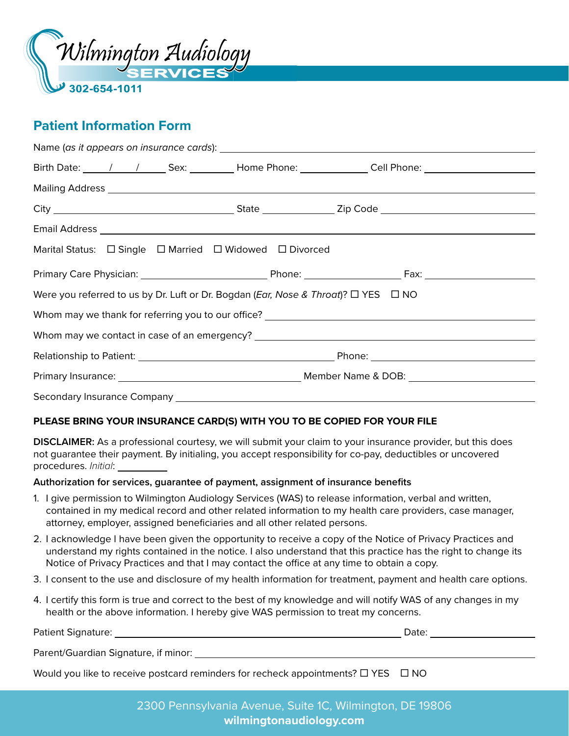

## **Patient Information Form**

| Birth Date: ______/_____/_________Sex: __________Home Phone: ______________Cell Phone: _______________________ |  |  |  |  |  |
|----------------------------------------------------------------------------------------------------------------|--|--|--|--|--|
|                                                                                                                |  |  |  |  |  |
|                                                                                                                |  |  |  |  |  |
|                                                                                                                |  |  |  |  |  |
| Marital Status: $\Box$ Single $\Box$ Married $\Box$ Widowed $\Box$ Divorced                                    |  |  |  |  |  |
|                                                                                                                |  |  |  |  |  |
| Were you referred to us by Dr. Luft or Dr. Bogdan (Ear, Nose & Throat)? $\Box$ YES $\Box$ NO                   |  |  |  |  |  |
|                                                                                                                |  |  |  |  |  |
|                                                                                                                |  |  |  |  |  |
|                                                                                                                |  |  |  |  |  |
|                                                                                                                |  |  |  |  |  |
|                                                                                                                |  |  |  |  |  |

#### **PLEASE BRING YOUR INSURANCE CARD(S) WITH YOU TO BE COPIED FOR YOUR FILE**

**DISCLAIMER:** As a professional courtesy, we will submit your claim to your insurance provider, but this does not guarantee their payment. By initialing, you accept responsibility for co-pay, deductibles or uncovered procedures. *Initial*:

#### **Authorization for services, guarantee of payment, assignment of insurance benefits**

- 1. I give permission to Wilmington Audiology Services (WAS) to release information, verbal and written, contained in my medical record and other related information to my health care providers, case manager, attorney, employer, assigned beneficiaries and all other related persons.
- 2. I acknowledge I have been given the opportunity to receive a copy of the Notice of Privacy Practices and understand my rights contained in the notice. I also understand that this practice has the right to change its Notice of Privacy Practices and that I may contact the office at any time to obtain a copy.
- 3. I consent to the use and disclosure of my health information for treatment, payment and health care options.
- 4. I certify this form is true and correct to the best of my knowledge and will notify WAS of any changes in my health or the above information. I hereby give WAS permission to treat my concerns.

| <b>Patient Signature:</b>                                                                         | Date: |
|---------------------------------------------------------------------------------------------------|-------|
| Parent/Guardian Signature, if minor:                                                              |       |
| Would you like to receive postcard reminders for recheck appointments? $\square$ YES $\square$ NO |       |

2300 Pennsylvania Avenue, Suite 1C, Wilmington, DE 19806 **wilmingtonaudiology.com**